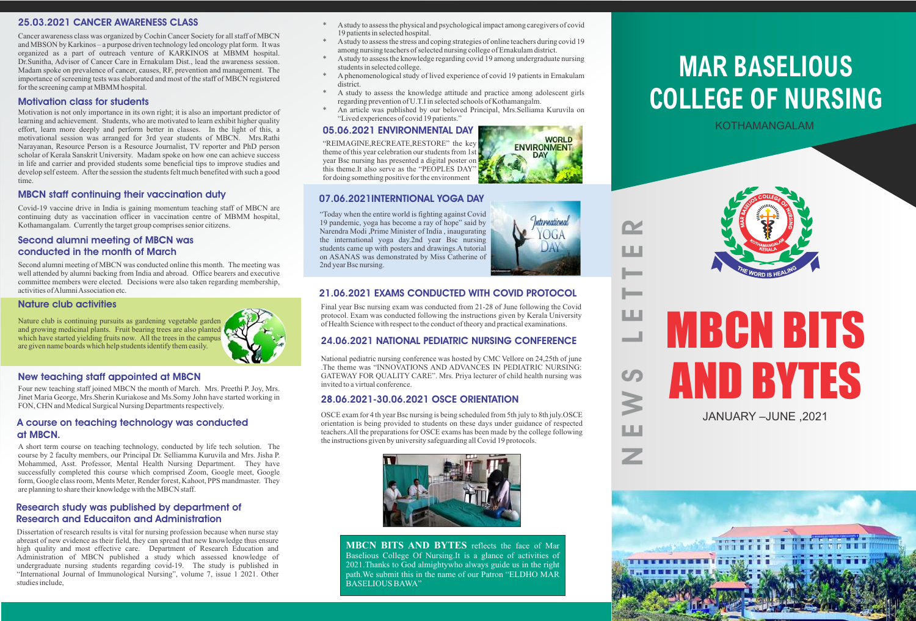# **MAR BASELIOUS COLLEGE OF NURSING**

# MBCN BITS AND BYTES JANUARY –JUNE ,2021



E

 $\overline{\mathcal{G}}$ 

 $\overline{\phantom{a}}$ 

E

 $\overline{\phantom{a}}$ 

 $-$ 

E

R

KOTHAMANGALAM



# 25.03.2021 CANCER AWARENESS CLASS

Cancer awareness class was organized by Cochin Cancer Society for all staff of MBCN and MBSON by Karkinos – a purpose driven technology led oncology plat form. It was organized as a part of outreach venture of KARKINOS at MBMM hospital. Dr.Sunitha, Advisor of Cancer Care in Ernakulam Dist., lead the awareness session. Madam spoke on prevalence of cancer, causes, RF, prevention and management. The importance of screening tests was elaborated and most of the staff of MBCN registered for the screening camp at MBMM hospital.

# Motivation class for students

Motivation is not only importance in its own right; it is also an important predictor of learning and achievement. Students, who are motivated to learn exhibit higher quality effort, learn more deeply and perform better in classes. In the light of this, a motivational session was arranged for 3rd year students of MBCN. Mrs.Rathi Narayanan, Resource Person is a Resource Journalist, TV reporter and PhD person scholar of Kerala Sanskrit University. Madam spoke on how one can achieve success in life and carrier and provided students some beneficial tips to improve studies and develop self esteem. After the session the students felt much benefited with such a good time.

# MBCN staff continuing their vaccination duty

Covid-19 vaccine drive in India is gaining momentum teaching staff of MBCN are continuing duty as vaccination officer in vaccination centre of MBMM hospital, Kothamangalam. Currently the target group comprises senior citizens.

# Second alumni meeting of MBCN was conducted in the month of March

Second alumni meeting of MBCN was conducted online this month. The meeting was well attended by alumni backing from India and abroad. Office bearers and executive committee members were elected. Decisions were also taken regarding membership, activities of Alumni Association etc.

# Nature club activities

Nature club is continuing pursuits as gardening vegetable garden and growing medicinal plants. Fruit bearing trees are also planted which have started yielding fruits now. All the trees in the campus are given name boards which help students identify them easily.



# New teaching staff appointed at MBCN

Four new teaching staff joined MBCN the month of March. Mrs. Preethi P. Joy, Mrs. Jinet Maria George, Mrs.Sherin Kuriakose and Ms.Somy John have started working in FON, CHN and Medical Surgical Nursing Departments respectively.

# A course on teaching technology was conducted at MBCN.

A short term course on teaching technology, conducted by life tech solution. The course by 2 faculty members, our Principal Dr. Selliamma Kuruvila and Mrs. Jisha P. Mohammed, Asst. Professor, Mental Health Nursing Department. They have successfully completed this course which comprised Zoom, Google meet, Google form, Google class room, Ments Meter, Render forest, Kahoot, PPS mandmaster. They are planning to share their knowledge with the MBCN staff.

Dissertation of research results is vital for nursing profession because when nurse stay abreast of new evidence as their field, they can spread that new knowledge thus ensure high quality and most effective care. Department of Research Education and Administration of MBCN published a study which assessed knowledge of undergraduate nursing students regarding covid-19. The study is published in "International Journal of Immunological Nursing", volume 7, issue 1 2021. Other studies include,

# Research study was published by department of Research and Educaiton and Administration

- \* Astudy to assess the physical and psychological impact among caregivers of covid 19 patients in selected hospital.
- A study to assess the stress and coping strategies of online teachers during covid 19 among nursing teachers of selected nursing college of Ernakulam district.
- A study to assess the knowledge regarding covid 19 among undergraduate nursing students in selected college.
- A phenomenological study of lived experience of covid 19 patients in Ernakulam district.
- A study to assess the knowledge attitude and practice among adolescent girls regarding prevention of U.T.I in selected schools of Kothamangalm.
- An article was published by our beloved Principal, Mrs.Selliama Kuruvila on "Lived experiences of covid 19 patients."

# 05.06.2021 ENVIRONMENTAL DAY

"REIMAGINE,RECREATE,RESTORE" the key theme of this year celebration our students from 1st year Bsc nursing has presented a digital poster on this theme.It also serve as the "PEOPLES DAY" for doing something positive for the environment

07.06.2021INTERNTIONAL YOGA DAY



Z

2nd year Bsc nursing.



# 21.06.2021 EXAMS CONDUCTED WITH COVID PROTOCOL

Final year Bsc nursing exam was conducted from 21-28 of June following the Covid protocol. Exam was conducted following the instructions given by Kerala University of Health Science with respect to the conduct of theory and practical examinations.

# 24.06.2021 NATIONAL PEDIATRIC NURSING CONFERENCE

National pediatric nursing conference was hosted by CMC Vellore on 24,25th of june .The theme was "INNOVATIONS AND ADVANCES IN PEDIATRIC NURSING: GATEWAY FOR QUALITY CARE". Mrs. Priya lecturer of child health nursing was invited to a virtual conference.

# 28.06.2021-30.06.2021 OSCE ORIENTATION

OSCE exam for 4 th year Bsc nursing is being scheduled from 5th july to 8th july.OSCE orientation is being provided to students on these days under guidance of respected teachers.All the preparations for OSCE exams has been made by the college following the instructions given by university safeguarding all Covid 19 protocols.



**MBCN BITS AND BYTES** reflects the face of Mar Baselious College Of Nursing.It is a glance of activities of 2021.Thanks to God almightywho always guide us in the right path.We submit this in the name of our Patron "ELDHO MAR BASELIOUS BAWA"